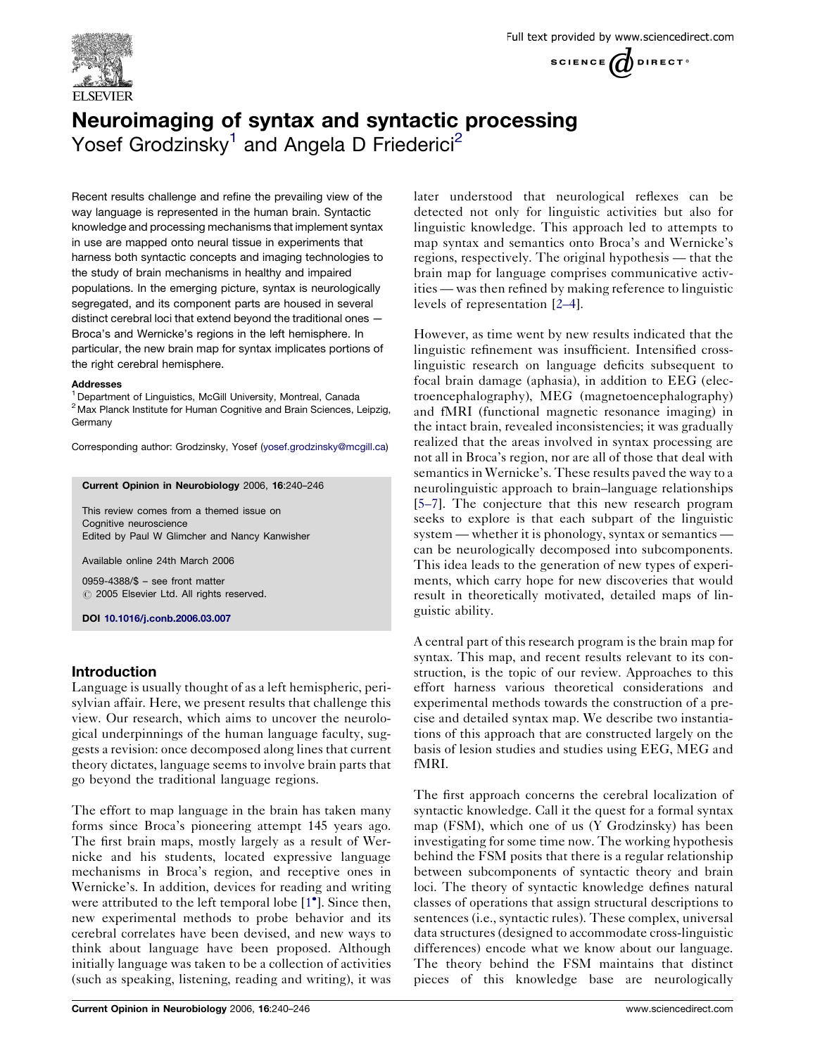



# Neuroimaging of syntax and syntactic processing Yosef Grodzinsky<sup>1</sup> and Angela D Friederici<sup>2</sup>

Recent results challenge and refine the prevailing view of the way language is represented in the human brain. Syntactic knowledge and processing mechanisms that implement syntax in use are mapped onto neural tissue in experiments that harness both syntactic concepts and imaging technologies to the study of brain mechanisms in healthy and impaired populations. In the emerging picture, syntax is neurologically segregated, and its component parts are housed in several distinct cerebral loci that extend beyond the traditional ones — Broca's and Wernicke's regions in the left hemisphere. In particular, the new brain map for syntax implicates portions of the right cerebral hemisphere.

#### Addresses

<sup>1</sup> Department of Linguistics, McGill University, Montreal, Canada  $2$  Max Planck Institute for Human Cognitive and Brain Sciences, Leipzig, Germany

Corresponding author: Grodzinsky, Yosef ([yosef.grodzinsky@mcgill.ca](mailto:yosef.grodzinsky@mcgill.ca))

#### Current Opinion in Neurobiology 2006, 16:240–246

This review comes from a themed issue on Cognitive neuroscience Edited by Paul W Glimcher and Nancy Kanwisher

Available online 24th March 2006

0959-4388/\$ – see front matter  $\circ$  2005 Elsevier Ltd. All rights reserved.

DOI [10.1016/j.conb.2006.03.007](http://dx.doi.org/10.1016/j.conb.2006.03.007)

### Introduction

Language is usually thought of as a left hemispheric, perisylvian affair. Here, we present results that challenge this view. Our research, which aims to uncover the neurological underpinnings of the human language faculty, suggests a revision: once decomposed along lines that current theory dictates, language seems to involve brain parts that go beyond the traditional language regions.

The effort to map language in the brain has taken many forms since Broca's pioneering attempt 145 years ago. The first brain maps, mostly largely as a result of Wernicke and his students, located expressive language mechanisms in Broca's region, and receptive ones in Wernicke's. In addition, devices for reading and writing were attributed to the left temporal lobe [[1](#page-5-0)<sup>°</sup>]. Since then, new experimental methods to probe behavior and its cerebral correlates have been devised, and new ways to think about language have been proposed. Although initially language was taken to be a collection of activities (such as speaking, listening, reading and writing), it was

later understood that neurological reflexes can be detected not only for linguistic activities but also for linguistic knowledge. This approach led to attempts to map syntax and semantics onto Broca's and Wernicke's regions, respectively. The original hypothesis — that the brain map for language comprises communicative activities — was then refined by making reference to linguistic levels of representation [\[2–4](#page-5-0)].

However, as time went by new results indicated that the linguistic refinement was insufficient. Intensified crosslinguistic research on language deficits subsequent to focal brain damage (aphasia), in addition to EEG (electroencephalography), MEG (magnetoencephalography) and fMRI (functional magnetic resonance imaging) in the intact brain, revealed inconsistencies; it was gradually realized that the areas involved in syntax processing are not all in Broca's region, nor are all of those that deal with semantics in Wernicke's. These results paved the way to a neurolinguistic approach to brain–language relationships [\[5–7](#page-5-0)]. The conjecture that this new research program seeks to explore is that each subpart of the linguistic system — whether it is phonology, syntax or semantics can be neurologically decomposed into subcomponents. This idea leads to the generation of new types of experiments, which carry hope for new discoveries that would result in theoretically motivated, detailed maps of linguistic ability.

A central part of this research program is the brain map for syntax. This map, and recent results relevant to its construction, is the topic of our review. Approaches to this effort harness various theoretical considerations and experimental methods towards the construction of a precise and detailed syntax map. We describe two instantiations of this approach that are constructed largely on the basis of lesion studies and studies using EEG, MEG and fMRI.

The first approach concerns the cerebral localization of syntactic knowledge. Call it the quest for a formal syntax map (FSM), which one of us (Y Grodzinsky) has been investigating for some time now. The working hypothesis behind the FSM posits that there is a regular relationship between subcomponents of syntactic theory and brain loci. The theory of syntactic knowledge defines natural classes of operations that assign structural descriptions to sentences (i.e., syntactic rules). These complex, universal data structures (designed to accommodate cross-linguistic differences) encode what we know about our language. The theory behind the FSM maintains that distinct pieces of this knowledge base are neurologically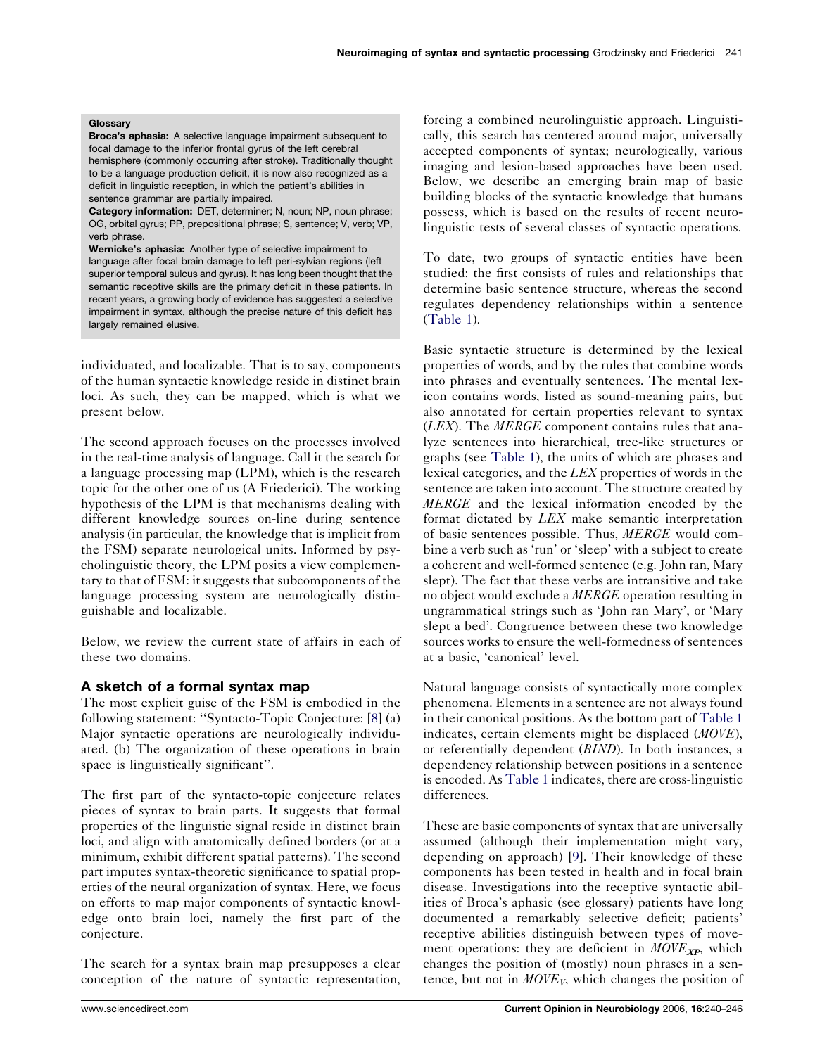#### **Glossary**

Broca's aphasia: A selective language impairment subsequent to focal damage to the inferior frontal gyrus of the left cerebral hemisphere (commonly occurring after stroke). Traditionally thought to be a language production deficit, it is now also recognized as a deficit in linguistic reception, in which the patient's abilities in sentence grammar are partially impaired.

Category information: DET, determiner; N, noun; NP, noun phrase; OG, orbital gyrus; PP, prepositional phrase; S, sentence; V, verb; VP, verb phrase.

Wernicke's aphasia: Another type of selective impairment to language after focal brain damage to left peri-sylvian regions (left superior temporal sulcus and gyrus). It has long been thought that the semantic receptive skills are the primary deficit in these patients. In recent years, a growing body of evidence has suggested a selective impairment in syntax, although the precise nature of this deficit has largely remained elusive.

individuated, and localizable. That is to say, components of the human syntactic knowledge reside in distinct brain loci. As such, they can be mapped, which is what we present below.

The second approach focuses on the processes involved in the real-time analysis of language. Call it the search for a language processing map (LPM), which is the research topic for the other one of us (A Friederici). The working hypothesis of the LPM is that mechanisms dealing with different knowledge sources on-line during sentence analysis (in particular, the knowledge that is implicit from the FSM) separate neurological units. Informed by psycholinguistic theory, the LPM posits a view complementary to that of FSM: it suggests that subcomponents of the language processing system are neurologically distinguishable and localizable.

Below, we review the current state of affairs in each of these two domains.

# A sketch of a formal syntax map

The most explicit guise of the FSM is embodied in the following statement: ''Syntacto-Topic Conjecture: [\[8](#page-5-0)] (a) Major syntactic operations are neurologically individuated. (b) The organization of these operations in brain space is linguistically significant''.

The first part of the syntacto-topic conjecture relates pieces of syntax to brain parts. It suggests that formal properties of the linguistic signal reside in distinct brain loci, and align with anatomically defined borders (or at a minimum, exhibit different spatial patterns). The second part imputes syntax-theoretic significance to spatial properties of the neural organization of syntax. Here, we focus on efforts to map major components of syntactic knowledge onto brain loci, namely the first part of the conjecture.

The search for a syntax brain map presupposes a clear conception of the nature of syntactic representation,

forcing a combined neurolinguistic approach. Linguistically, this search has centered around major, universally accepted components of syntax; neurologically, various imaging and lesion-based approaches have been used. Below, we describe an emerging brain map of basic building blocks of the syntactic knowledge that humans possess, which is based on the results of recent neurolinguistic tests of several classes of syntactic operations.

To date, two groups of syntactic entities have been studied: the first consists of rules and relationships that determine basic sentence structure, whereas the second regulates dependency relationships within a sentence ([Table 1](#page-2-0)).

Basic syntactic structure is determined by the lexical properties of words, and by the rules that combine words into phrases and eventually sentences. The mental lexicon contains words, listed as sound-meaning pairs, but also annotated for certain properties relevant to syntax  $(LEX)$ . The MERGE component contains rules that analyze sentences into hierarchical, tree-like structures or graphs (see [Table 1\)](#page-2-0), the units of which are phrases and lexical categories, and the LEX properties of words in the sentence are taken into account. The structure created by MERGE and the lexical information encoded by the format dictated by LEX make semantic interpretation of basic sentences possible. Thus, MERGE would combine a verb such as 'run' or 'sleep' with a subject to create a coherent and well-formed sentence (e.g. John ran, Mary slept). The fact that these verbs are intransitive and take no object would exclude a MERGE operation resulting in ungrammatical strings such as 'John ran Mary', or 'Mary slept a bed'. Congruence between these two knowledge sources works to ensure the well-formedness of sentences at a basic, 'canonical' level.

Natural language consists of syntactically more complex phenomena. Elements in a sentence are not always found in their canonical positions. As the bottom part of [Table 1](#page-2-0) indicates, certain elements might be displaced (MOVE), or referentially dependent (BIND). In both instances, a dependency relationship between positions in a sentence is encoded. As [Table 1](#page-2-0) indicates, there are cross-linguistic differences.

These are basic components of syntax that are universally assumed (although their implementation might vary, depending on approach) [\[9](#page-5-0)]. Their knowledge of these components has been tested in health and in focal brain disease. Investigations into the receptive syntactic abilities of Broca's aphasic (see glossary) patients have long documented a remarkably selective deficit; patients' receptive abilities distinguish between types of movement operations: they are deficient in  $MOVE_{XP}$ , which changes the position of (mostly) noun phrases in a sentence, but not in  $MOVE_V$ , which changes the position of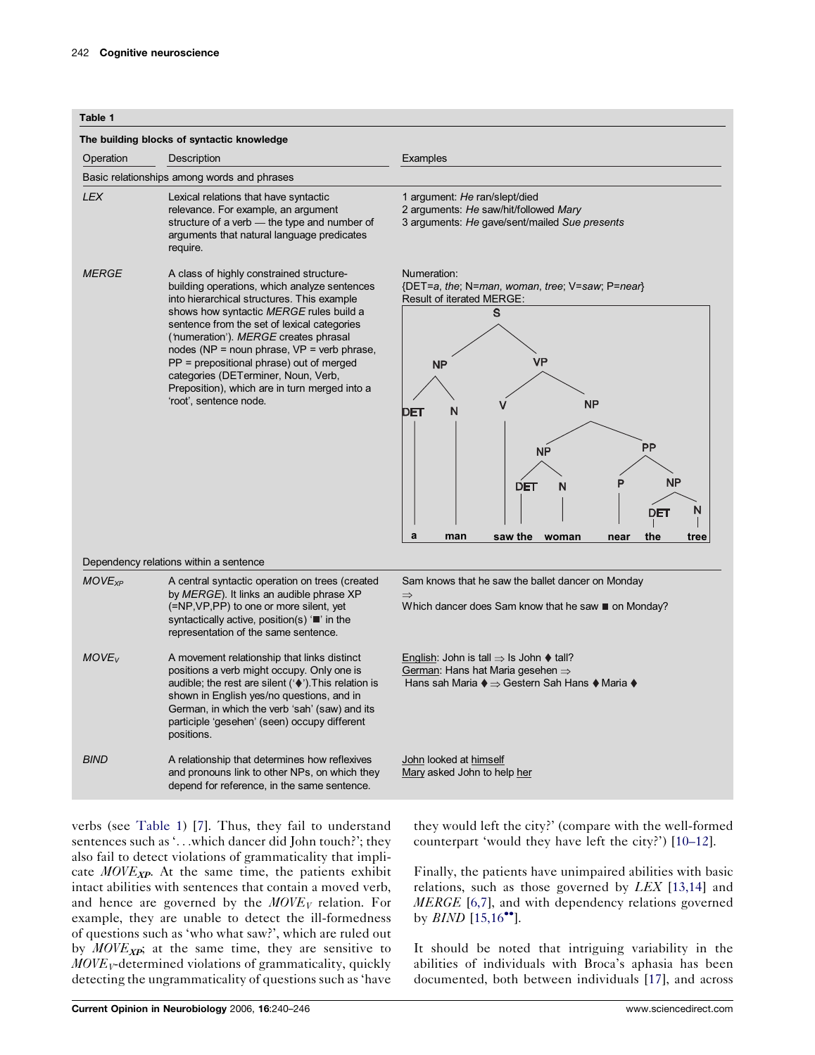<span id="page-2-0"></span>

| Table 1                 |                                                                                                                                                                                                                                                                                                                                                                                                                                                                                         |                                                                                                                                                                                                                                                                           |  |
|-------------------------|-----------------------------------------------------------------------------------------------------------------------------------------------------------------------------------------------------------------------------------------------------------------------------------------------------------------------------------------------------------------------------------------------------------------------------------------------------------------------------------------|---------------------------------------------------------------------------------------------------------------------------------------------------------------------------------------------------------------------------------------------------------------------------|--|
|                         | The building blocks of syntactic knowledge                                                                                                                                                                                                                                                                                                                                                                                                                                              |                                                                                                                                                                                                                                                                           |  |
| Operation               | Description                                                                                                                                                                                                                                                                                                                                                                                                                                                                             | Examples                                                                                                                                                                                                                                                                  |  |
|                         | Basic relationships among words and phrases                                                                                                                                                                                                                                                                                                                                                                                                                                             |                                                                                                                                                                                                                                                                           |  |
| <b>LEX</b>              | Lexical relations that have syntactic<br>relevance. For example, an argument<br>structure of a verb - the type and number of<br>arguments that natural language predicates<br>require.                                                                                                                                                                                                                                                                                                  | 1 argument: He ran/slept/died<br>2 arguments: He saw/hit/followed Mary<br>3 arguments: He gave/sent/mailed Sue presents                                                                                                                                                   |  |
| <b>MERGE</b>            | A class of highly constrained structure-<br>building operations, which analyze sentences<br>into hierarchical structures. This example<br>shows how syntactic MERGE rules build a<br>sentence from the set of lexical categories<br>('numeration'). MERGE creates phrasal<br>nodes (NP = noun phrase, $VP$ = verb phrase,<br>PP = prepositional phrase) out of merged<br>categories (DETerminer, Noun, Verb,<br>Preposition), which are in turn merged into a<br>'root', sentence node. | Numeration:<br>{DET=a, the; N=man, woman, tree; V=saw; P=near}<br>Result of iterated MERGE:<br>S<br><b>VP</b><br><b>NP</b><br><b>NP</b><br><b>DET</b><br>N<br>PP<br><b>NP</b><br>ΝP<br><b>DET</b><br>N<br>N<br>DET<br>a<br>saw the<br>the<br>man<br>woman<br>tree<br>near |  |
|                         | Dependency relations within a sentence                                                                                                                                                                                                                                                                                                                                                                                                                                                  |                                                                                                                                                                                                                                                                           |  |
| $MOVE_{XP}$             | A central syntactic operation on trees (created<br>by MERGE). It links an audible phrase XP<br>(=NP, VP, PP) to one or more silent, yet<br>syntactically active, position(s) $\mathbf{w}'$ in the<br>representation of the same sentence.                                                                                                                                                                                                                                               | Sam knows that he saw the ballet dancer on Monday<br>$\Rightarrow$<br>Which dancer does Sam know that he saw ■ on Monday?                                                                                                                                                 |  |
| <b>MOVE<sub>v</sub></b> | A movement relationship that links distinct<br>positions a verb might occupy. Only one is<br>audible; the rest are silent ( $\blacklozenge$ ). This relation is<br>shown in English yes/no questions, and in<br>German, in which the verb 'sah' (saw) and its<br>participle 'gesehen' (seen) occupy different<br>positions.                                                                                                                                                             | English: John is tall $\Rightarrow$ Is John $\blacklozenge$ tall?<br>German: Hans hat Maria gesehen $\Rightarrow$<br>Hans sah Maria ♦ $\Rightarrow$ Gestern Sah Hans ♦ Maria ♦                                                                                            |  |
| <b>BIND</b>             | A relationship that determines how reflexives<br>and pronouns link to other NPs, on which they<br>depend for reference, in the same sentence.                                                                                                                                                                                                                                                                                                                                           | John looked at himself<br>Mary asked John to help her                                                                                                                                                                                                                     |  |

verbs (see Table 1) [\[7](#page-5-0)]. Thus, they fail to understand sentences such as '...which dancer did John touch?'; they also fail to detect violations of grammaticality that implicate  $MOVE_{\text{XP}}$ . At the same time, the patients exhibit intact abilities with sentences that contain a moved verb, and hence are governed by the  $MOVE_V$  relation. For example, they are unable to detect the ill-formedness of questions such as 'who what saw?', which are ruled out by  $MOVE_{\text{XP}}$ ; at the same time, they are sensitive to  $MOVE_V$ -determined violations of grammaticality, quickly detecting the ungrammaticality of questions such as 'have

they would left the city?' (compare with the well-formed counterpart 'would they have left the city?') [[10–12\]](#page-5-0).

Finally, the patients have unimpaired abilities with basic relations, such as those governed by LEX [\[13,14\]](#page-5-0) and MERGE [[6,7](#page-5-0)], and with dependency relations governed by  $BIND$  [\[15,16](#page-5-0)<sup> $\bullet$ </sup>].

It should be noted that intriguing variability in the abilities of individuals with Broca's aphasia has been documented, both between individuals [[17\]](#page-5-0), and across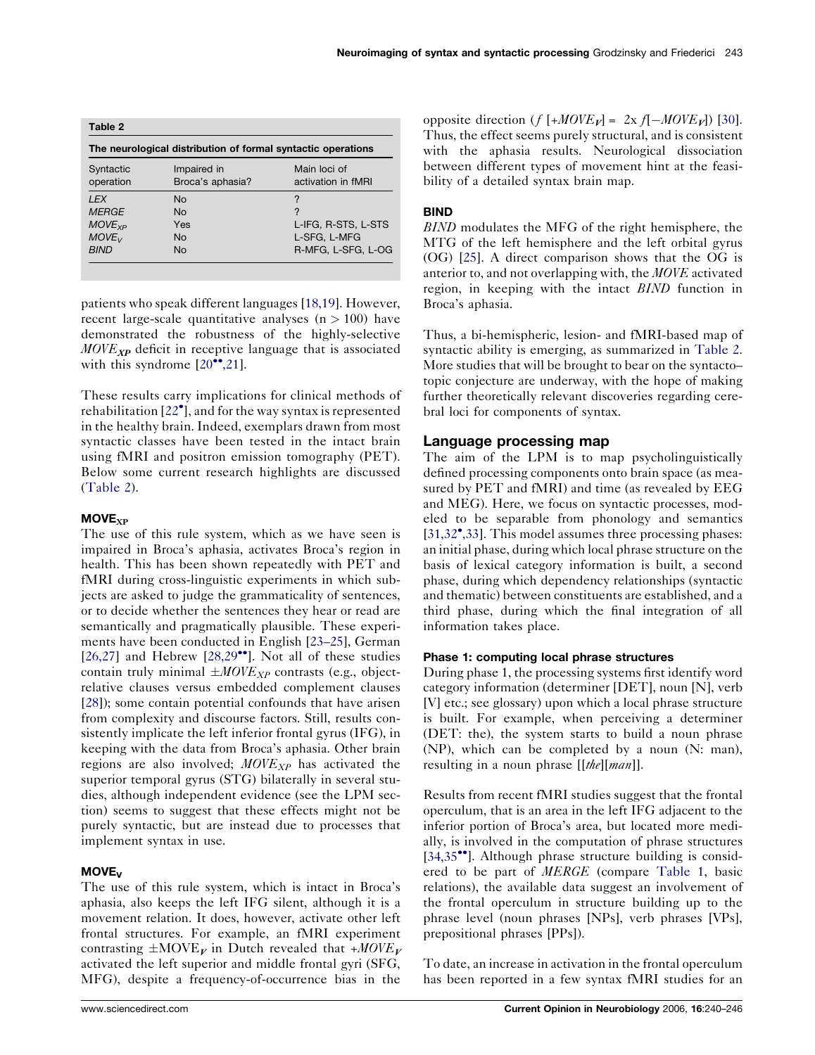<span id="page-3-0"></span>

| Table 2<br>The neurological distribution of formal syntactic operations |                |                     |  |
|-------------------------------------------------------------------------|----------------|---------------------|--|
|                                                                         |                |                     |  |
| I FX                                                                    | Nο             | 7                   |  |
| <b>MFRGF</b>                                                            | N <sub>o</sub> | ?                   |  |
| $MOVE$ <sub><i>XP</i></sub>                                             | Yes            | L-IFG, R-STS, L-STS |  |
| $MOVE_V$                                                                | N <sub>o</sub> | L-SFG, L-MFG        |  |
| <b>BIND</b>                                                             | Nο             | R-MFG. L-SFG. L-OG  |  |

patients who speak different languages [\[18,19\]](#page-5-0). However, recent large-scale quantitative analyses  $(n > 100)$  have demonstrated the robustness of the highly-selective  $MOVE_{XP}$  deficit in receptive language that is associated with this syndrome  $[20^{\bullet\bullet}, 21]$  $[20^{\bullet\bullet}, 21]$ .

These results carry implications for clinical methods of rehabilitation [\[22](#page-6-0)<sup>\*</sup>], and for the way syntax is represented in the healthy brain. Indeed, exemplars drawn from most syntactic classes have been tested in the intact brain using fMRI and positron emission tomography (PET). Below some current research highlights are discussed (Table 2).

# $MOVE<sub>XP</sub>$

The use of this rule system, which as we have seen is impaired in Broca's aphasia, activates Broca's region in health. This has been shown repeatedly with PET and fMRI during cross-linguistic experiments in which subjects are asked to judge the grammaticality of sentences, or to decide whether the sentences they hear or read are semantically and pragmatically plausible. These experiments have been conducted in English [\[23–25](#page-6-0)], German [\[26,27\]](#page-6-0) and Hebrew [\[28,29](#page-6-0) $\bullet$ ]. Not all of these studies contain truly minimal  $\pm MOVE_{XP}$  contrasts (e.g., objectrelative clauses versus embedded complement clauses [\[28](#page-6-0)]); some contain potential confounds that have arisen from complexity and discourse factors. Still, results consistently implicate the left inferior frontal gyrus (IFG), in keeping with the data from Broca's aphasia. Other brain regions are also involved;  $MOVE_{XP}$  has activated the superior temporal gyrus (STG) bilaterally in several studies, although independent evidence (see the LPM section) seems to suggest that these effects might not be purely syntactic, but are instead due to processes that implement syntax in use.

# **MOVE<sub>V</sub>**

The use of this rule system, which is intact in Broca's aphasia, also keeps the left IFG silent, although it is a movement relation. It does, however, activate other left frontal structures. For example, an fMRI experiment contrasting  $\pm\text{MOVE}_{V}$  in Dutch revealed that  $\pm\text{MOVE}_{V}$ activated the left superior and middle frontal gyri (SFG, MFG), despite a frequency-of-occurrence bias in the

opposite direction ( $f$  [+MOVE<sub>V</sub>] = 2x  $f$ [-MOVE<sub>V</sub>]) [[30\]](#page-6-0). Thus, the effect seems purely structural, and is consistent with the aphasia results. Neurological dissociation between different types of movement hint at the feasibility of a detailed syntax brain map.

# BIND

BIND modulates the MFG of the right hemisphere, the MTG of the left hemisphere and the left orbital gyrus (OG) [\[25](#page-6-0)]. A direct comparison shows that the OG is anterior to, and not overlapping with, the MOVE activated region, in keeping with the intact *BIND* function in Broca's aphasia.

Thus, a bi-hemispheric, lesion- and fMRI-based map of syntactic ability is emerging, as summarized in Table 2. More studies that will be brought to bear on the syntacto– topic conjecture are underway, with the hope of making further theoretically relevant discoveries regarding cerebral loci for components of syntax.

# Language processing map

The aim of the LPM is to map psycholinguistically defined processing components onto brain space (as measured by PET and fMRI) and time (as revealed by EEG and MEG). Here, we focus on syntactic processes, modeled to be separable from phonology and semantics [[31,32](#page-6-0)°[,33](#page-6-0)]. This model assumes three processing phases: an initial phase, during which local phrase structure on the basis of lexical category information is built, a second phase, during which dependency relationships (syntactic and thematic) between constituents are established, and a third phase, during which the final integration of all information takes place.

# Phase 1: computing local phrase structures

During phase 1, the processing systems first identify word category information (determiner [DET], noun [N], verb [V] etc.; see glossary) upon which a local phrase structure is built. For example, when perceiving a determiner (DET: the), the system starts to build a noun phrase (NP), which can be completed by a noun (N: man), resulting in a noun phrase [[the][man]].

Results from recent fMRI studies suggest that the frontal operculum, that is an area in the left IFG adjacent to the inferior portion of Broca's area, but located more medially, is involved in the computation of phrase structures  $[34,35$  $[34,35$ <sup> $\bullet$ </sup>]. Although phrase structure building is considered to be part of MERGE (compare [Table 1](#page-2-0), basic relations), the available data suggest an involvement of the frontal operculum in structure building up to the phrase level (noun phrases [NPs], verb phrases [VPs], prepositional phrases [PPs]).

To date, an increase in activation in the frontal operculum has been reported in a few syntax fMRI studies for an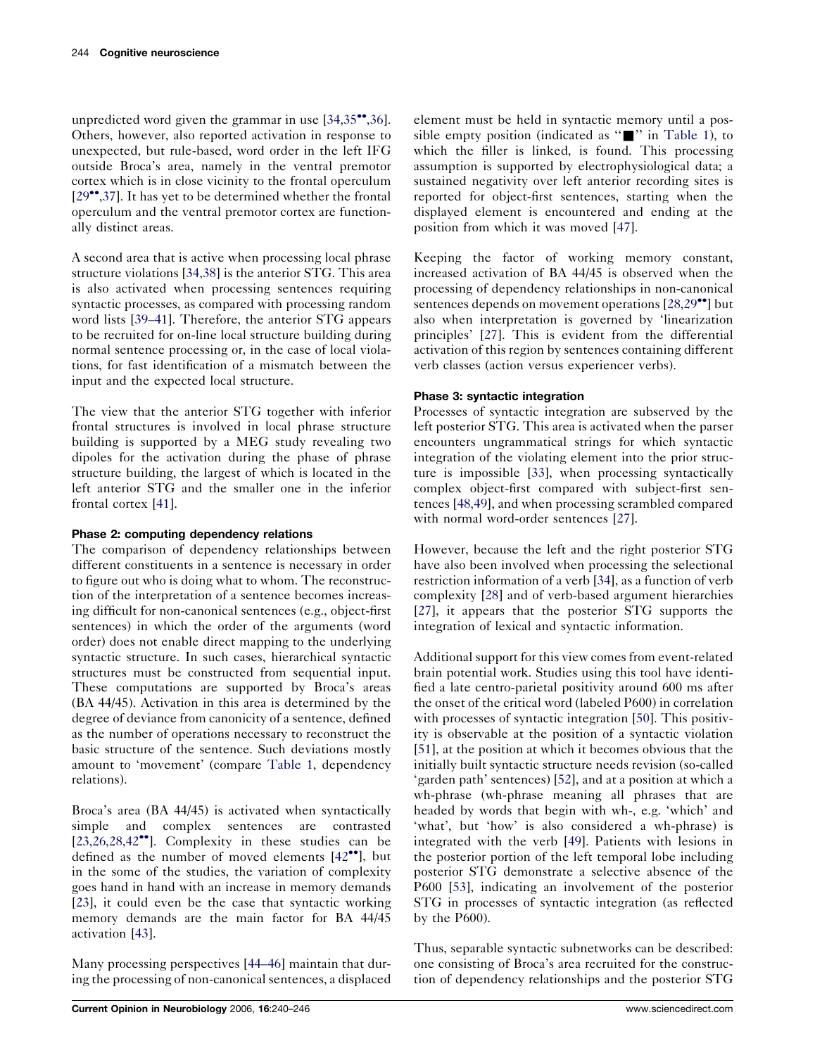unpredicted word given the grammar in use  $[34,35^{\bullet\bullet},36]$  $[34,35^{\bullet\bullet},36]$  $[34,35^{\bullet\bullet},36]$  $[34,35^{\bullet\bullet},36]$  $[34,35^{\bullet\bullet},36]$ . Others, however, also reported activation in response to unexpected, but rule-based, word order in the left IFG outside Broca's area, namely in the ventral premotor cortex which is in close vicinity to the frontal operculum  $[29\degree, 37]$  $[29\degree, 37]$ . It has yet to be determined whether the frontal operculum and the ventral premotor cortex are functionally distinct areas.

A second area that is active when processing local phrase structure violations [\[34,38\]](#page-6-0) is the anterior STG. This area is also activated when processing sentences requiring syntactic processes, as compared with processing random word lists [\[39–41](#page-6-0)]. Therefore, the anterior STG appears to be recruited for on-line local structure building during normal sentence processing or, in the case of local violations, for fast identification of a mismatch between the input and the expected local structure.

The view that the anterior STG together with inferior frontal structures is involved in local phrase structure building is supported by a MEG study revealing two dipoles for the activation during the phase of phrase structure building, the largest of which is located in the left anterior STG and the smaller one in the inferior frontal cortex [[41\]](#page-6-0).

### Phase 2: computing dependency relations

The comparison of dependency relationships between different constituents in a sentence is necessary in order to figure out who is doing what to whom. The reconstruction of the interpretation of a sentence becomes increasing difficult for non-canonical sentences (e.g., object-first sentences) in which the order of the arguments (word order) does not enable direct mapping to the underlying syntactic structure. In such cases, hierarchical syntactic structures must be constructed from sequential input. These computations are supported by Broca's areas (BA 44/45). Activation in this area is determined by the degree of deviance from canonicity of a sentence, defined as the number of operations necessary to reconstruct the basic structure of the sentence. Such deviations mostly amount to 'movement' (compare [Table 1,](#page-2-0) dependency relations).

Broca's area (BA 44/45) is activated when syntactically simple and complex sentences are contrasted  $[23,26,28,42^{\bullet\bullet}]$  $[23,26,28,42^{\bullet\bullet}]$ . Complexity in these studies can be defined as the number of moved elements  $[42^{\bullet\bullet}]$  $[42^{\bullet\bullet}]$  $[42^{\bullet\bullet}]$ , but in the some of the studies, the variation of complexity goes hand in hand with an increase in memory demands [\[23](#page-6-0)], it could even be the case that syntactic working memory demands are the main factor for BA 44/45 activation [[43\]](#page-6-0).

Many processing perspectives [\[44–46](#page-6-0)] maintain that during the processing of non-canonical sentences, a displaced element must be held in syntactic memory until a possible empty position (indicated as " $\blacksquare$ " in [Table 1](#page-2-0)), to which the filler is linked, is found. This processing assumption is supported by electrophysiological data; a sustained negativity over left anterior recording sites is reported for object-first sentences, starting when the displayed element is encountered and ending at the position from which it was moved [\[47](#page-6-0)].

Keeping the factor of working memory constant, increased activation of BA 44/45 is observed when the processing of dependency relationships in non-canonical sentences depends on movement operations  $[28,29$  $[28,29$ <sup> $\bullet$ </sup> but also when interpretation is governed by 'linearization principles' [\[27](#page-6-0)]. This is evident from the differential activation of this region by sentences containing different verb classes (action versus experiencer verbs).

### Phase 3: syntactic integration

Processes of syntactic integration are subserved by the left posterior STG. This area is activated when the parser encounters ungrammatical strings for which syntactic integration of the violating element into the prior structure is impossible [[33\]](#page-6-0), when processing syntactically complex object-first compared with subject-first sentences [[48,49](#page-6-0)], and when processing scrambled compared with normal word-order sentences [[27\]](#page-6-0).

However, because the left and the right posterior STG have also been involved when processing the selectional restriction information of a verb [\[34](#page-6-0)], as a function of verb complexity [[28\]](#page-6-0) and of verb-based argument hierarchies [\[27](#page-6-0)], it appears that the posterior STG supports the integration of lexical and syntactic information.

Additional support for this view comes from event-related brain potential work. Studies using this tool have identified a late centro-parietal positivity around 600 ms after the onset of the critical word (labeled P600) in correlation with processes of syntactic integration [\[50](#page-6-0)]. This positivity is observable at the position of a syntactic violation [\[51](#page-6-0)], at the position at which it becomes obvious that the initially built syntactic structure needs revision (so-called 'garden path' sentences) [[52\]](#page-6-0), and at a position at which a wh-phrase (wh-phrase meaning all phrases that are headed by words that begin with wh-, e.g. 'which' and 'what', but 'how' is also considered a wh-phrase) is integrated with the verb [\[49](#page-6-0)]. Patients with lesions in the posterior portion of the left temporal lobe including posterior STG demonstrate a selective absence of the P600 [[53\]](#page-6-0), indicating an involvement of the posterior STG in processes of syntactic integration (as reflected by the P600).

Thus, separable syntactic subnetworks can be described: one consisting of Broca's area recruited for the construction of dependency relationships and the posterior STG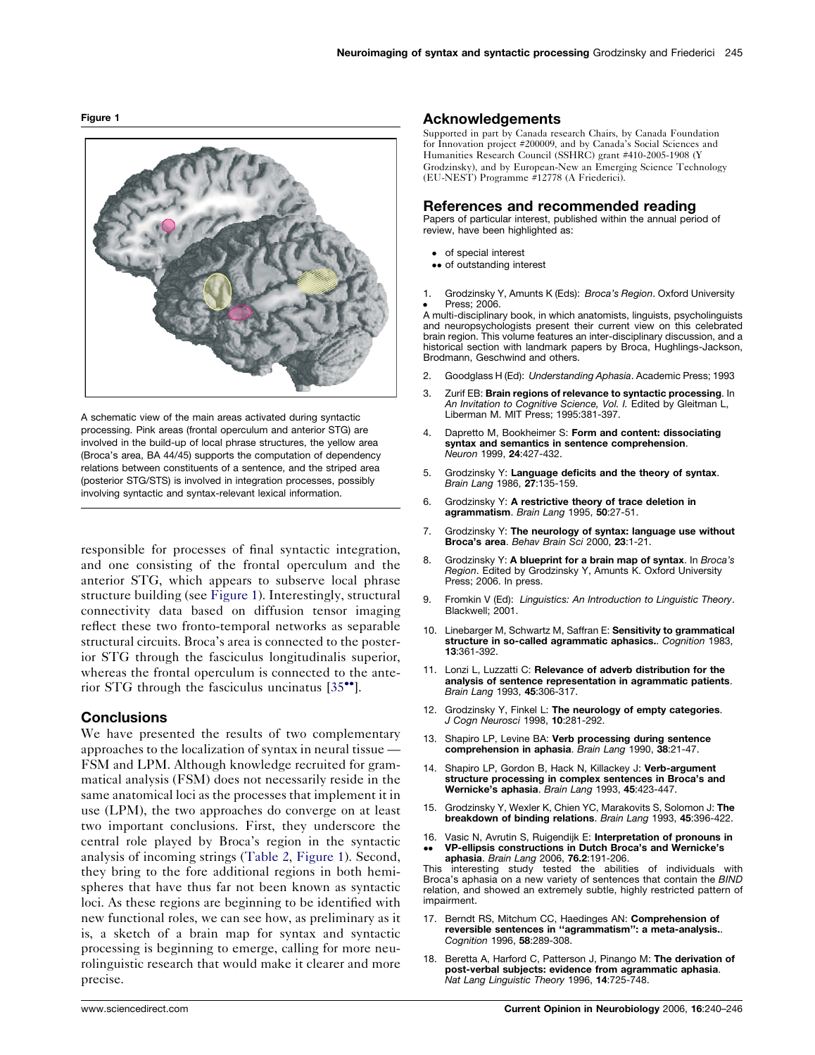#### <span id="page-5-0"></span>Figure 1



A schematic view of the main areas activated during syntactic processing. Pink areas (frontal operculum and anterior STG) are involved in the build-up of local phrase structures, the yellow area (Broca's area, BA 44/45) supports the computation of dependency relations between constituents of a sentence, and the striped area (posterior STG/STS) is involved in integration processes, possibly involving syntactic and syntax-relevant lexical information.

responsible for processes of final syntactic integration, and one consisting of the frontal operculum and the anterior STG, which appears to subserve local phrase structure building (see Figure 1). Interestingly, structural connectivity data based on diffusion tensor imaging reflect these two fronto-temporal networks as separable structural circuits. Broca's area is connected to the posterior STG through the fasciculus longitudinalis superior, whereas the frontal operculum is connected to the anterior STG through the fasciculus uncinatus  $[35$  $[35$ <sup> $\bullet$ </sup>].

### **Conclusions**

We have presented the results of two complementary approaches to the localization of syntax in neural tissue — FSM and LPM. Although knowledge recruited for grammatical analysis (FSM) does not necessarily reside in the same anatomical loci as the processes that implement it in use (LPM), the two approaches do converge on at least two important conclusions. First, they underscore the central role played by Broca's region in the syntactic analysis of incoming strings ([Table 2](#page-3-0), Figure 1). Second, they bring to the fore additional regions in both hemispheres that have thus far not been known as syntactic loci. As these regions are beginning to be identified with new functional roles, we can see how, as preliminary as it is, a sketch of a brain map for syntax and syntactic processing is beginning to emerge, calling for more neurolinguistic research that would make it clearer and more precise.

#### Acknowledgements

Supported in part by Canada research Chairs, by Canada Foundation for Innovation project #200009, and by Canada's Social Sciences and Humanities Research Council (SSHRC) grant #410-2005-1908 (Y Grodzinsky), and by European-New an Emerging Science Technology (EU-NEST) Programme #12778 (A Friederici).

#### References and recommended reading

Papers of particular interest, published within the annual period of review, have been highlighted as:

- of special interest
- •• of outstanding interest
- 1.  $\bullet$ Grodzinsky Y, Amunts K (Eds): Broca's Region. Oxford University Press; 2006.

A multi-disciplinary book, in which anatomists, linguists, psycholinguists and neuropsychologists present their current view on this celebrated brain region. This volume features an inter-disciplinary discussion, and a historical section with landmark papers by Broca, Hughlings-Jackson, Brodmann, Geschwind and others.

- 2. Goodglass H (Ed): Understanding Aphasia. Academic Press; 1993
- 3. Zurif EB: Brain regions of relevance to syntactic processing. In An Invitation to Cognitive Science, Vol. I. Edited by Gleitman L, Liberman M. MIT Press; 1995:381-397.
- Dapretto M, Bookheimer S: Form and content: dissociating syntax and semantics in sentence comprehension. Neuron 1999, 24:427-432.
- 5. Grodzinsky Y: Language deficits and the theory of syntax. Brain Lang 1986, 27:135-159.
- 6. Grodzinsky Y: A restrictive theory of trace deletion in agrammatism. Brain Lang 1995, 50:27-51.
- 7. Grodzinsky Y: The neurology of syntax: language use without<br>Broca's area. Behav Brain Sci 2000, 23:1-21.
- 8. Grodzinsky Y: A blueprint for a brain map of syntax. In Broca's Region. Edited by Grodzinsky Y, Amunts K. Oxford University Press; 2006. In press.
- 9. Fromkin V (Ed): Linguistics: An Introduction to Linguistic Theory. Blackwell: 2001.
- 10. Linebarger M, Schwartz M, Saffran E: Sensitivity to grammatical structure in so-called agrammatic aphasics.. Cognition 1983, 13:361-392.
- 11. Lonzi L, Luzzatti C: Relevance of adverb distribution for the analysis of sentence representation in agrammatic patients. Brain Lang 1993, 45:306-317.
- 12. Grodzinsky Y, Finkel L: The neurology of empty categories. J Cogn Neurosci 1998, 10:281-292.
- 13. Shapiro LP, Levine BA: Verb processing during sentence comprehension in aphasia. Brain Lang 1990, 38:21-47.
- 14. Shapiro LP, Gordon B, Hack N, Killackey J: Verb-argument structure processing in complex sentences in Broca's and Wernicke's aphasia. Brain Lang 1993, 45:423-447.
- 15. Grodzinsky Y, Wexler K, Chien YC, Marakovits S, Solomon J: The breakdown of binding relations. Brain Lang 1993, 45:396-422.
- 16.  $\bullet\bullet$ Vasic N, Avrutin S, Ruigendijk E: Interpretation of pronouns in VP-ellipsis constructions in Dutch Broca's and Wernicke's aphasia. Brain Lang 2006, 76.2:191-206.

This interesting study tested the abilities of individuals with Broca's aphasia on a new variety of sentences that contain the BIND relation, and showed an extremely subtle, highly restricted pattern of impairment.

- 17. Berndt RS, Mitchum CC, Haedinges AN: Comprehension of reversible sentences in ''agrammatism'': a meta-analysis.. Cognition 1996, 58:289-308.
- 18. Beretta A, Harford C, Patterson J, Pinango M: The derivation of post-verbal subjects: evidence from agrammatic aphasia. Nat Lang Linguistic Theory 1996, 14:725-748.